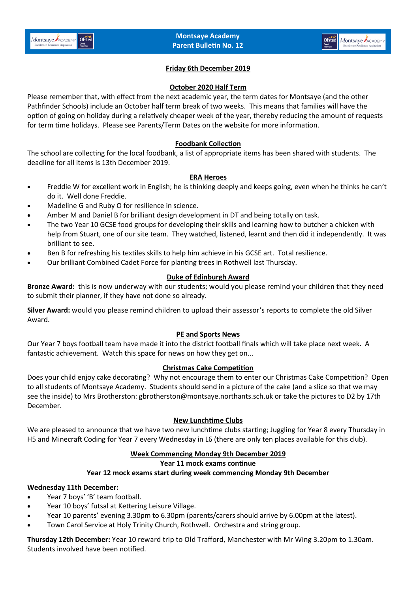

# **Friday 6th December 2019**

### **October 2020 Half Term**

Please remember that, with effect from the next academic year, the term dates for Montsaye (and the other Pathfinder Schools) include an October half term break of two weeks. This means that families will have the option of going on holiday during a relatively cheaper week of the year, thereby reducing the amount of requests for term time holidays. Please see Parents/Term Dates on the website for more information.

## **Foodbank Collection**

The school are collecting for the local foodbank, a list of appropriate items has been shared with students. The deadline for all items is 13th December 2019.

### **ERA Heroes**

- Freddie W for excellent work in English; he is thinking deeply and keeps going, even when he thinks he can't do it. Well done Freddie.
- Madeline G and Ruby O for resilience in science.
- Amber M and Daniel B for brilliant design development in DT and being totally on task.
- The two Year 10 GCSE food groups for developing their skills and learning how to butcher a chicken with help from Stuart, one of our site team. They watched, listened, learnt and then did it independently. It was brilliant to see.
- Ben B for refreshing his textiles skills to help him achieve in his GCSE art. Total resilience.
- Our brilliant Combined Cadet Force for planting trees in Rothwell last Thursday.

## **Duke of Edinburgh Award**

**Bronze Award:** this is now underway with our students; would you please remind your children that they need to submit their planner, if they have not done so already.

**Silver Award:** would you please remind children to upload their assessor's reports to complete the old Silver Award.

## **PE and Sports News**

Our Year 7 boys football team have made it into the district football finals which will take place next week. A fantastic achievement. Watch this space for news on how they get on...

## **Christmas Cake Competition**

Does your child enjoy cake decorating? Why not encourage them to enter our Christmas Cake Competition? Open to all students of Montsaye Academy. Students should send in a picture of the cake (and a slice so that we may see the inside) to Mrs Brotherston: gbrotherston@montsaye.northants.sch.uk or take the pictures to D2 by 17th December.

## **New Lunchtime Clubs**

We are pleased to announce that we have two new lunchtime clubs starting; Juggling for Year 8 every Thursday in H5 and Minecraft Coding for Year 7 every Wednesday in L6 (there are only ten places available for this club).

### **Week Commencing Monday 9th December 2019**

#### **Year 11 mock exams continue**

## **Year 12 mock exams start during week commencing Monday 9th December**

## **Wednesday 11th December:**

- Year 7 boys' 'B' team football.
- Year 10 boys' futsal at Kettering Leisure Village.
- Year 10 parents' evening 3.30pm to 6.30pm (parents/carers should arrive by 6.00pm at the latest).
- Town Carol Service at Holy Trinity Church, Rothwell. Orchestra and string group.

**Thursday 12th December:** Year 10 reward trip to Old Trafford, Manchester with Mr Wing 3.20pm to 1.30am. Students involved have been notified.